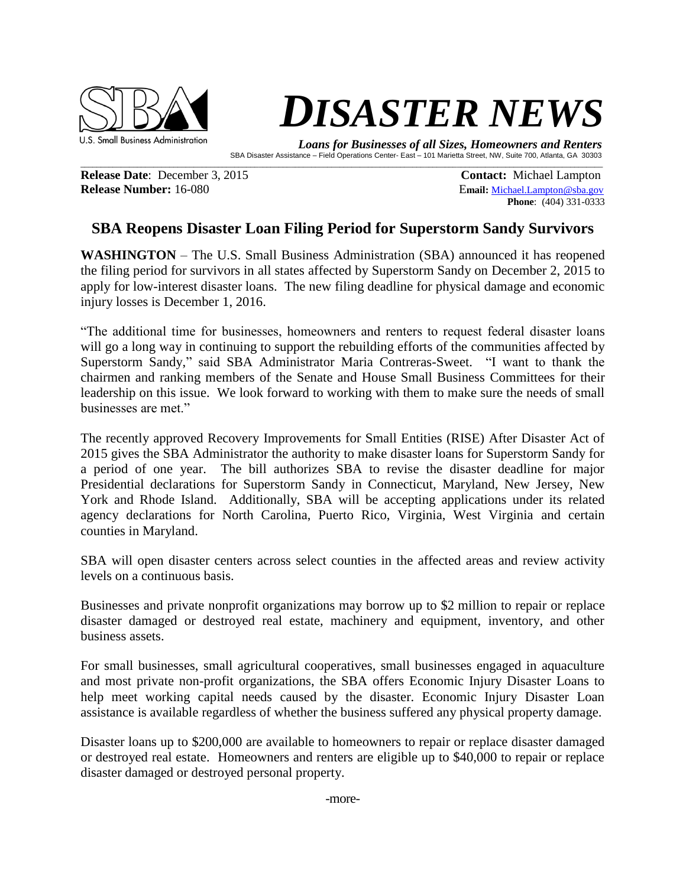

## **DISASTER NEWS**

 *Loans for Businesses of all Sizes, Homeowners and Renters*  SBA Disaster Assistance – Field Operations Center- East – 101 Marietta Street, NW, Suite 700, Atlanta, GA 30303

**Release Date**: December 3, 2015 **Contact: Michael Lampton Release Number:** 16-080 **Email:** [Michael.Lampton@sba.gov](mailto:Michael.Lampton@sba.gov)

**Phone**: (404) 331-0333

## **SBA Reopens Disaster Loan Filing Period for Superstorm Sandy Survivors**

 $\mathcal{L}_\mathcal{L} = \mathcal{L}_\mathcal{L} = \mathcal{L}_\mathcal{L} = \mathcal{L}_\mathcal{L} = \mathcal{L}_\mathcal{L} = \mathcal{L}_\mathcal{L} = \mathcal{L}_\mathcal{L} = \mathcal{L}_\mathcal{L} = \mathcal{L}_\mathcal{L} = \mathcal{L}_\mathcal{L} = \mathcal{L}_\mathcal{L} = \mathcal{L}_\mathcal{L} = \mathcal{L}_\mathcal{L} = \mathcal{L}_\mathcal{L} = \mathcal{L}_\mathcal{L} = \mathcal{L}_\mathcal{L} = \mathcal{L}_\mathcal{L}$ 

**WASHINGTON** – The U.S. Small Business Administration (SBA) announced it has reopened the filing period for survivors in all states affected by Superstorm Sandy on December 2, 2015 to apply for low-interest disaster loans. The new filing deadline for physical damage and economic injury losses is December 1, 2016.

"The additional time for businesses, homeowners and renters to request federal disaster loans will go a long way in continuing to support the rebuilding efforts of the communities affected by Superstorm Sandy," said SBA Administrator Maria Contreras-Sweet. "I want to thank the chairmen and ranking members of the Senate and House Small Business Committees for their leadership on this issue. We look forward to working with them to make sure the needs of small businesses are met."

The recently approved Recovery Improvements for Small Entities (RISE) After Disaster Act of 2015 gives the SBA Administrator the authority to make disaster loans for Superstorm Sandy for a period of one year. The bill authorizes SBA to revise the disaster deadline for major Presidential declarations for Superstorm Sandy in Connecticut, Maryland, New Jersey, New York and Rhode Island. Additionally, SBA will be accepting applications under its related agency declarations for North Carolina, Puerto Rico, Virginia, West Virginia and certain counties in Maryland.

SBA will open disaster centers across select counties in the affected areas and review activity levels on a continuous basis.

Businesses and private nonprofit organizations may borrow up to \$2 million to repair or replace disaster damaged or destroyed real estate, machinery and equipment, inventory, and other business assets.

For small businesses, small agricultural cooperatives, small businesses engaged in aquaculture and most private non-profit organizations, the SBA offers Economic Injury Disaster Loans to help meet working capital needs caused by the disaster. Economic Injury Disaster Loan assistance is available regardless of whether the business suffered any physical property damage.

Disaster loans up to \$200,000 are available to homeowners to repair or replace disaster damaged or destroyed real estate. Homeowners and renters are eligible up to \$40,000 to repair or replace disaster damaged or destroyed personal property.